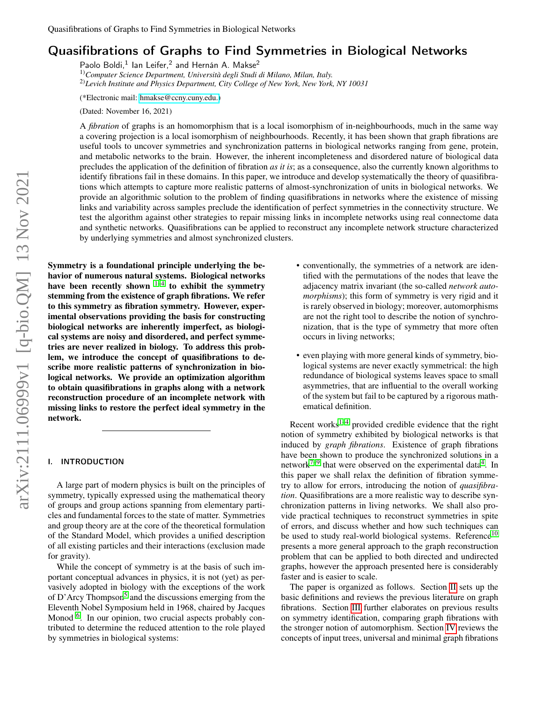# Quasifibrations of Graphs to Find Symmetries in Biological Networks

Paolo Boldi,<sup>1</sup> Ian Leifer,<sup>2</sup> and Hernán A. Makse<sup>2</sup>

1)*Computer Science Department, Università degli Studi di Milano, Milan, Italy.* 2)*Levich Institute and Physics Department, City College of New York, New York, NY 10031*

(\*Electronic mail: [hmakse@ccny.cuny.edu.\)](mailto:hmakse@ccny.cuny.edu.)

(Dated: November 16, 2021)

A *fibration* of graphs is an homomorphism that is a local isomorphism of in-neighbourhoods, much in the same way a covering projection is a local isomorphism of neighbourhoods. Recently, it has been shown that graph fibrations are useful tools to uncover symmetries and synchronization patterns in biological networks ranging from gene, protein, and metabolic networks to the brain. However, the inherent incompleteness and disordered nature of biological data precludes the application of the definition of fibration *as it is*; as a consequence, also the currently known algorithms to identify fibrations fail in these domains. In this paper, we introduce and develop systematically the theory of quasifibrations which attempts to capture more realistic patterns of almost-synchronization of units in biological networks. We provide an algorithmic solution to the problem of finding quasifibrations in networks where the existence of missing links and variability across samples preclude the identification of perfect symmetries in the connectivity structure. We test the algorithm against other strategies to repair missing links in incomplete networks using real connectome data and synthetic networks. Quasifibrations can be applied to reconstruct any incomplete network structure characterized by underlying symmetries and almost synchronized clusters.

Symmetry is a foundational principle underlying the behavior of numerous natural systems. Biological networks have been recently shown  $1-4$  $1-4$  to exhibit the symmetry stemming from the existence of graph fibrations. We refer to this symmetry as fibration symmetry. However, experimental observations providing the basis for constructing biological networks are inherently imperfect, as biological systems are noisy and disordered, and perfect symmetries are never realized in biology. To address this problem, we introduce the concept of quasifibrations to describe more realistic patterns of synchronization in biological networks. We provide an optimization algorithm to obtain quasifibrations in graphs along with a network reconstruction procedure of an incomplete network with missing links to restore the perfect ideal symmetry in the network.

# I. INTRODUCTION

A large part of modern physics is built on the principles of symmetry, typically expressed using the mathematical theory of groups and group actions spanning from elementary particles and fundamental forces to the state of matter. Symmetries and group theory are at the core of the theoretical formulation of the Standard Model, which provides a unified description of all existing particles and their interactions (exclusion made for gravity).

While the concept of symmetry is at the basis of such important conceptual advances in physics, it is not (yet) as pervasively adopted in biology with the exceptions of the work of D'Arcy Thompson<sup>[5](#page-14-2)</sup> and the discussions emerging from the Eleventh Nobel Symposium held in 1968, chaired by Jacques Monod <sup>[6](#page-14-3)</sup>. In our opinion, two crucial aspects probably contributed to determine the reduced attention to the role played by symmetries in biological systems:

- conventionally, the symmetries of a network are identified with the permutations of the nodes that leave the adjacency matrix invariant (the so-called *network automorphisms*); this form of symmetry is very rigid and it is rarely observed in biology; moreover, automorphisms are not the right tool to describe the notion of synchronization, that is the type of symmetry that more often occurs in living networks;
- even playing with more general kinds of symmetry, biological systems are never exactly symmetrical: the high redundance of biological systems leaves space to small asymmetries, that are influential to the overall working of the system but fail to be captured by a rigorous mathematical definition.

Recent works<sup>1-[4](#page-14-1)</sup> provided credible evidence that the right notion of symmetry exhibited by biological networks is that induced by *graph fibrations*. Existence of graph fibrations have been shown to produce the synchronized solutions in a network<sup>[7](#page-14-4)-9</sup> that were observed on the experimental data<sup>[4](#page-14-1)</sup>. In this paper we shall relax the definition of fibration symmetry to allow for errors, introducing the notion of *quasifibration*. Quasifibrations are a more realistic way to describe synchronization patterns in living networks. We shall also provide practical techniques to reconstruct symmetries in spite of errors, and discuss whether and how such techniques can be used to study real-world biological systems. Reference<sup>[10](#page-14-6)</sup> presents a more general approach to the graph reconstruction problem that can be applied to both directed and undirected graphs, however the approach presented here is considerably faster and is easier to scale.

The paper is organized as follows. Section [II](#page-1-0) sets up the basic definitions and reviews the previous literature on graph fibrations. Section [III](#page-3-0) further elaborates on previous results on symmetry identification, comparing graph fibrations with the stronger notion of automorphism. Section [IV](#page-4-0) reviews the concepts of input trees, universal and minimal graph fibrations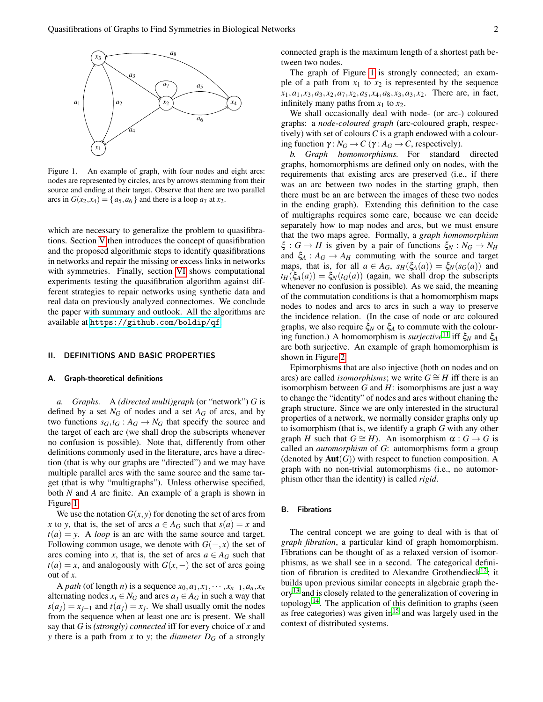

<span id="page-1-1"></span>Figure 1. An example of graph, with four nodes and eight arcs: nodes are represented by circles, arcs by arrows stemming from their source and ending at their target. Observe that there are two parallel arcs in  $G(x_2, x_4) = \{a_5, a_6\}$  and there is a loop  $a_7$  at  $x_2$ .

which are necessary to generalize the problem to quasifibrations. Section [V](#page-5-0) then introduces the concept of quasifibration and the proposed algorithmic steps to identify quasifibrations in networks and repair the missing or excess links in networks with symmetries. Finally, section [VI](#page-11-0) shows computational experiments testing the quasifibration algorithm against different strategies to repair networks using synthetic data and real data on previously analyzed connectomes. We conclude the paper with summary and outlook. All the algorithms are available at <https://github.com/boldip/qf>.

# <span id="page-1-0"></span>II. DEFINITIONS AND BASIC PROPERTIES

#### A. Graph-theoretical definitions

*a. Graphs.* A *(directed multi)graph* (or "network") *G* is defined by a set  $N_G$  of nodes and a set  $A_G$  of arcs, and by two functions  $s_G$ ,  $t_G$  :  $A_G \rightarrow N_G$  that specify the source and the target of each arc (we shall drop the subscripts whenever no confusion is possible). Note that, differently from other definitions commonly used in the literature, arcs have a direction (that is why our graphs are "directed") and we may have multiple parallel arcs with the same source and the same target (that is why "multigraphs"). Unless otherwise specified, both *N* and *A* are finite. An example of a graph is shown in Figure [1.](#page-1-1)

We use the notation  $G(x, y)$  for denoting the set of arcs from *x* to *y*, that is, the set of arcs  $a \in A_G$  such that  $s(a) = x$  and  $t(a) = y$ . A *loop* is an arc with the same source and target. Following common usage, we denote with  $G(-,x)$  the set of arcs coming into *x*, that is, the set of arcs  $a \in A_G$  such that  $t(a) = x$ , and analogously with  $G(x, -)$  the set of arcs going out of *x*.

A *path* (of length *n*) is a sequence  $x_0, a_1, x_1, \dots, x_{n-1}, a_n, x_n$ alternating nodes  $x_i \in N_G$  and arcs  $a_i \in A_G$  in such a way that  $s(a_j) = x_{j-1}$  and  $t(a_j) = x_j$ . We shall usually omit the nodes from the sequence when at least one arc is present. We shall say that *G* is *(strongly) connected* iff for every choice of *x* and *y* there is a path from *x* to *y*; the *diameter D<sup>G</sup>* of a strongly connected graph is the maximum length of a shortest path between two nodes.

The graph of Figure [1](#page-1-1) is strongly connected; an example of a path from  $x_1$  to  $x_2$  is represented by the sequence  $x_1, a_1, x_3, a_3, x_2, a_7, x_2, a_5, x_4, a_8, x_3, a_3, x_2$ . There are, in fact, infinitely many paths from  $x_1$  to  $x_2$ .

We shall occasionally deal with node- (or arc-) coloured graphs: a *node-coloured graph* (arc-coloured graph, respectively) with set of colours *C* is a graph endowed with a colouring function  $\gamma: N_G \to C$  ( $\gamma: A_G \to C$ , respectively).

*b. Graph homomorphisms.* For standard directed graphs, homomorphisms are defined only on nodes, with the requirements that existing arcs are preserved (i.e., if there was an arc between two nodes in the starting graph, then there must be an arc between the images of these two nodes in the ending graph). Extending this definition to the case of multigraphs requires some care, because we can decide separately how to map nodes and arcs, but we must ensure that the two maps agree. Formally, a *graph homomorphism*  $\xi: G \to H$  is given by a pair of functions  $\xi_N: N_G \to N_H$ and  $\xi_A : A_G \to A_H$  commuting with the source and target maps, that is, for all  $a \in A_G$ ,  $s_H(\xi_A(a)) = \xi_N(s_G(a))$  and  $t_H(\xi_A(a)) = \xi_N(t_G(a))$  (again, we shall drop the subscripts whenever no confusion is possible). As we said, the meaning of the commutation conditions is that a homomorphism maps nodes to nodes and arcs to arcs in such a way to preserve the incidence relation. (In the case of node or arc coloured graphs, we also require  $\xi_N$  or  $\xi_A$  to commute with the colouring function.) A homomorphism is *surjective*[11](#page-14-7) iff ξ*<sup>N</sup>* and ξ*<sup>A</sup>* are both surjective. An example of graph homomorphism is shown in Figure [2.](#page-2-0)

Epimorphisms that are also injective (both on nodes and on arcs) are called *isomorphisms*; we write  $G \cong H$  iff there is an isomorphism between *G* and *H*: isomorphisms are just a way to change the "identity" of nodes and arcs without chaning the graph structure. Since we are only interested in the structural properties of a network, we normally consider graphs only up to isomorphism (that is, we identify a graph *G* with any other graph *H* such that  $G \cong H$ ). An isomorphism  $\alpha : G \to G$  is called an *automorphism* of *G*: automorphisms form a group (denoted by  $Aut(G)$ ) with respect to function composition. A graph with no non-trivial automorphisms (i.e., no automorphism other than the identity) is called *rigid*.

#### B. Fibrations

<span id="page-1-2"></span>The central concept we are going to deal with is that of *graph fibration*, a particular kind of graph homomorphism. Fibrations can be thought of as a relaxed version of isomorphisms, as we shall see in a second. The categorical defini-tion of fibration is credited to Alexandre Grothendieck<sup>[12](#page-14-8)</sup>; it builds upon previous similar concepts in algebraic graph the-ory<sup>[13](#page-14-9)</sup> and is closely related to the generalization of covering in topology<sup>[14](#page-14-10)</sup>. The application of this definition to graphs (seen as free categories) was given  $\text{in}^{15}$  $\text{in}^{15}$  $\text{in}^{15}$  and was largely used in the context of distributed systems.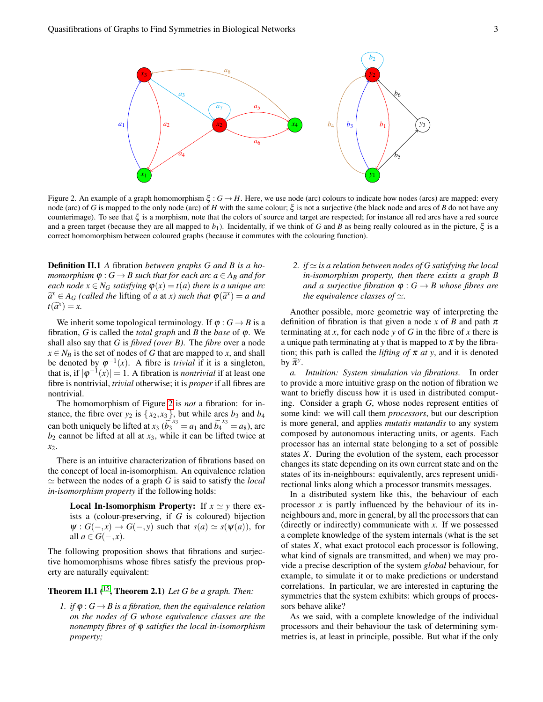

<span id="page-2-0"></span>Figure 2. An example of a graph homomorphism  $\xi$ :  $G \rightarrow H$ . Here, we use node (arc) colours to indicate how nodes (arcs) are mapped: every node (arc) of *G* is mapped to the only node (arc) of *H* with the same colour; ξ is not a surjective (the black node and arcs of *B* do not have any counterimage). To see that  $\xi$  is a morphism, note that the colors of source and target are respected; for instance all red arcs have a red source and a green target (because they are all mapped to  $b_1$ ). Incidentally, if we think of *G* and *B* as being really coloured as in the picture,  $\xi$  is a correct homomorphism between coloured graphs (because it commutes with the colouring function).

Definition II.1 *A* fibration *between graphs G and B is a homomorphism*  $\varphi$  :  $G \rightarrow B$  *such that for each arc*  $a \in A_B$  *and for each node*  $x \in N_G$  *satisfying*  $\varphi(x) = t(a)$  *there is a unique arc*  $\widetilde{a}^x \in A_G$  *(called the lifting of <i>a* at *x*) *such that*  $\varphi(\widetilde{a}^x) = a$  *and*  $\varphi(\widetilde{a}^x) = x$  $t(\tilde{a}^x) = x.$ 

We inherit some topological terminology. If  $\varphi : G \to B$  is a fibration, *G* is called the *total graph* and *B* the *base* of ϕ. We shall also say that *G* is *fibred (over B)*. The *fibre* over a node  $x \in N_B$  is the set of nodes of *G* that are mapped to *x*, and shall be denoted by  $\varphi^{-1}(x)$ . A fibre is *trivial* if it is a singleton, that is, if  $|\varphi^{-1}(x)| = 1$ . A fibration is *nontrivial* if at least one fibre is nontrivial, *trivial* otherwise; it is *proper* if all fibres are nontrivial.

The homomorphism of Figure [2](#page-2-0) is *not* a fibration: for instance, the fibre over  $y_2$  is  $\{x_2, x_3\}$ , but while arcs  $b_3$  and  $b_4$ can both uniquely be lifted at  $x_3$  ( $b_3^{x_3} = a_1$  and  $b_4^{x_3} = a_8$ ), arc  $b_2$  cannot be lifted at all at  $x_3$ , while it can be lifted twice at *x*2.

There is an intuitive characterization of fibrations based on the concept of local in-isomorphism. An equivalence relation  $\simeq$  between the nodes of a graph *G* is said to satisfy the *local in-isomorphism property* if the following holds:

**Local In-Isomorphism Property:** If  $x \approx y$  there exists a (colour-preserving, if *G* is coloured) bijection  $\Psi : G(-,x) \to G(-,y)$  such that  $s(a) \simeq s(\Psi(a))$ , for all *a* ∈ *G*(−,*x*).

The following proposition shows that fibrations and surjective homomorphisms whose fibres satisfy the previous property are naturally equivalent:

# Theorem II.1 ([15](#page-14-11), Theorem 2.1) *Let G be a graph. Then:*

<span id="page-2-1"></span>*1. if*  $\varphi$  :  $G \rightarrow B$  *is a fibration, then the equivalence relation on the nodes of G whose equivalence classes are the nonempty fibres of* ϕ *satisfies the local in-isomorphism property;*

2. *if*  $\simeq$  *is a relation between nodes of G satisfying the local in-isomorphism property, then there exists a graph B and a surjective fibration*  $\varphi$  :  $G \rightarrow B$  whose fibres are *the equivalence classes of*  $\simeq$ .

Another possible, more geometric way of interpreting the definition of fibration is that given a node *x* of *B* and path  $\pi$ terminating at *x*, for each node *y* of *G* in the fibre of *x* there is a unique path terminating at *y* that is mapped to  $\pi$  by the fibration; this path is called the *lifting of*  $\pi$  *at* y, and it is denoted by  $\widetilde{\pi}^y$ .

*a. Intuition: System simulation via fibrations.* In order to provide a more intuitive grasp on the notion of fibration we want to briefly discuss how it is used in distributed computing. Consider a graph *G*, whose nodes represent entities of some kind: we will call them *processors*, but our description is more general, and applies *mutatis mutandis* to any system composed by autonomous interacting units, or agents. Each processor has an internal state belonging to a set of possible states *X*. During the evolution of the system, each processor changes its state depending on its own current state and on the states of its in-neighbours: equivalently, arcs represent unidirectional links along which a processor transmits messages.

In a distributed system like this, the behaviour of each processor *x* is partly influenced by the behaviour of its inneighbours and, more in general, by all the processors that can (directly or indirectly) communicate with *x*. If we possessed a complete knowledge of the system internals (what is the set of states *X*, what exact protocol each processor is following, what kind of signals are transmitted, and when) we may provide a precise description of the system *global* behaviour, for example, to simulate it or to make predictions or understand correlations. In particular, we are interested in capturing the symmetries that the system exhibits: which groups of processors behave alike?

As we said, with a complete knowledge of the individual processors and their behaviour the task of determining symmetries is, at least in principle, possible. But what if the only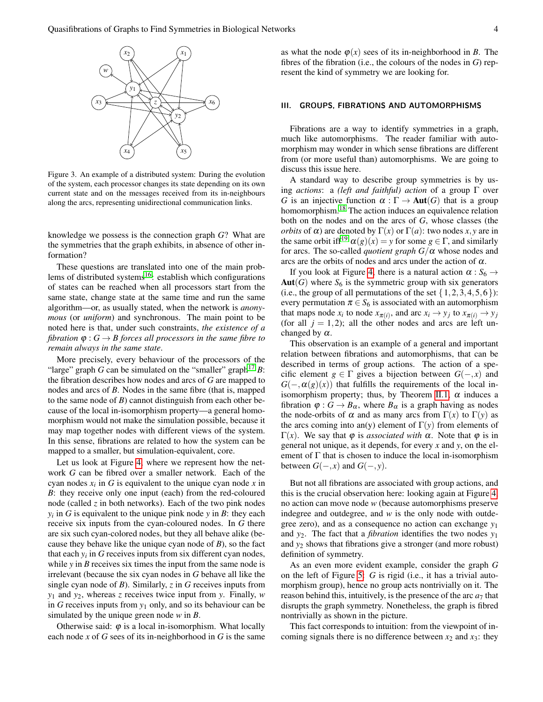

<span id="page-3-1"></span>Figure 3. An example of a distributed system: During the evolution of the system, each processor changes its state depending on its own current state and on the messages received from its in-neighbours along the arcs, representing unidirectional communication links.

knowledge we possess is the connection graph *G*? What are the symmetries that the graph exhibits, in absence of other information?

These questions are translated into one of the main prob-lems of distributed systems<sup>[16](#page-14-12)</sup>: establish which configurations of states can be reached when all processors start from the same state, change state at the same time and run the same algorithm—or, as usually stated, when the network is *anonymous* (or *uniform*) and synchronous. The main point to be noted here is that, under such constraints, *the existence of a fibration*  $\varphi$  :  $G \rightarrow B$  *forces all processors in the same fibre to remain always in the same state*.

More precisely, every behaviour of the processors of the "large" graph *G* can be simulated on the "smaller" graph<sup>[17](#page-14-13)</sup> *B*: the fibration describes how nodes and arcs of *G* are mapped to nodes and arcs of *B*. Nodes in the same fibre (that is, mapped to the same node of *B*) cannot distinguish from each other because of the local in-isomorphism property—a general homomorphism would not make the simulation possible, because it may map together nodes with different views of the system. In this sense, fibrations are related to how the system can be mapped to a smaller, but simulation-equivalent, core.

Let us look at Figure [4,](#page-4-1) where we represent how the network *G* can be fibred over a smaller network. Each of the cyan nodes  $x_i$  in  $G$  is equivalent to the unique cyan node  $x$  in *B*: they receive only one input (each) from the red-coloured node (called *z* in both networks). Each of the two pink nodes  $y_i$  in *G* is equivalent to the unique pink node *y* in *B*: they each receive six inputs from the cyan-coloured nodes. In *G* there are six such cyan-colored nodes, but they all behave alike (because they behave like the unique cyan node of *B*), so the fact that each  $y_i$  in  $G$  receives inputs from six different cyan nodes, while *y* in *B* receives six times the input from the same node is irrelevant (because the six cyan nodes in *G* behave all like the single cyan node of *B*). Similarly, *z* in *G* receives inputs from *y*<sup>1</sup> and *y*2, whereas *z* receives twice input from *y*. Finally, *w* in *G* receives inputs from *y*<sup>1</sup> only, and so its behaviour can be simulated by the unique green node *w* in *B*.

Otherwise said:  $\varphi$  is a local in-isomorphism. What locally each node *x* of *G* sees of its in-neighborhood in *G* is the same as what the node  $\varphi(x)$  sees of its in-neighborhood in *B*. The fibres of the fibration (i.e., the colours of the nodes in *G*) represent the kind of symmetry we are looking for.

#### <span id="page-3-0"></span>III. GROUPS, FIBRATIONS AND AUTOMORPHISMS

Fibrations are a way to identify symmetries in a graph, much like automorphisms. The reader familiar with automorphism may wonder in which sense fibrations are different from (or more useful than) automorphisms. We are going to discuss this issue here.

A standard way to describe group symmetries is by using *actions*: a *(left and faithful) action* of a group Γ over *G* is an injective function  $\alpha : \Gamma \to \text{Aut}(G)$  that is a group homomorphism.<sup>[18](#page-14-14)</sup> The action induces an equivalence relation both on the nodes and on the arcs of *G*, whose classes (the *orbits* of  $\alpha$ ) are denoted by  $\Gamma(x)$  or  $\Gamma(a)$ : two nodes *x*, *y* are in the same orbit if  $f^{19}$  $f^{19}$  $f^{19}$   $\alpha(g)(x) = y$  for some  $g \in \Gamma$ , and similarly for arcs. The so-called *quotient graph*  $G/\alpha$  whose nodes and arcs are the orbits of nodes and arcs under the action of  $\alpha$ .

If you look at Figure [4,](#page-4-1) there is a natural action  $\alpha$ :  $S_6 \rightarrow$  $Aut(G)$  where  $S_6$  is the symmetric group with six generators (i.e., the group of all permutations of the set  $\{1,2,3,4,5,6\}$ ): every permutation  $\pi \in S_6$  is associated with an automorphism that maps node  $x_i$  to node  $x_{\pi(i)}$ , and arc  $x_i \rightarrow y_j$  to  $x_{\pi(i)} \rightarrow y_j$ (for all  $j = 1,2$ ); all the other nodes and arcs are left unchanged by  $\alpha$ .

This observation is an example of a general and important relation between fibrations and automorphisms, that can be described in terms of group actions. The action of a specific element  $g \in \Gamma$  gives a bijection between  $G(-, x)$  and  $G(-, \alpha(g)(x))$  that fulfills the requirements of the local in-isomorphism property; thus, by Theorem [II.1,](#page-2-1)  $\alpha$  induces a fibration  $\varphi : G \to B_\alpha$ , where  $B_\alpha$  is a graph having as nodes the node-orbits of  $\alpha$  and as many arcs from  $\Gamma(x)$  to  $\Gamma(y)$  as the arcs coming into an(y) element of  $\Gamma(y)$  from elements of  $Γ(x)$ . We say that  $φ$  is *associated with*  $α$ . Note that  $φ$  is in general not unique, as it depends, for every *x* and *y*, on the element of  $\Gamma$  that is chosen to induce the local in-isomorphism between  $G(-,x)$  and  $G(-,y)$ .

But not all fibrations are associated with group actions, and this is the crucial observation here: looking again at Figure [4,](#page-4-1) no action can move node *w* (because automorphisms preserve indegree and outdegree, and *w* is the only node with outdegree zero), and as a consequence no action can exchange *y*<sup>1</sup> and *y*2. The fact that a *fibration* identifies the two nodes *y*<sup>1</sup> and *y*<sup>2</sup> shows that fibrations give a stronger (and more robust) definition of symmetry.

As an even more evident example, consider the graph *G* on the left of Figure [5:](#page-4-2) *G* is rigid (i.e., it has a trivial automorphism group), hence no group acts nontrivially on it. The reason behind this, intuitively, is the presence of the arc  $a_7$  that disrupts the graph symmetry. Nonetheless, the graph is fibred nontrivially as shown in the picture.

This fact corresponds to intuition: from the viewpoint of incoming signals there is no difference between  $x_2$  and  $x_3$ : they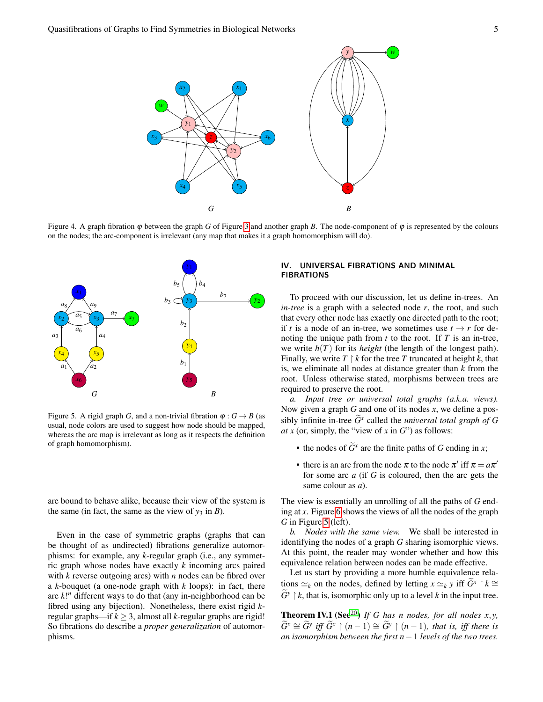

<span id="page-4-1"></span>Figure 4. A graph fibration  $\varphi$  between the graph *G* of Figure [3](#page-3-1) and another graph *B*. The node-component of  $\varphi$  is represented by the colours on the nodes; the arc-component is irrelevant (any map that makes it a graph homomorphism will do).



<span id="page-4-2"></span>Figure 5. A rigid graph *G*, and a non-trivial fibration  $\varphi : G \to B$  (as usual, node colors are used to suggest how node should be mapped, whereas the arc map is irrelevant as long as it respects the definition of graph homomorphism).

are bound to behave alike, because their view of the system is the same (in fact, the same as the view of  $y_3$  in *B*).

Even in the case of symmetric graphs (graphs that can be thought of as undirected) fibrations generalize automorphisms: for example, any *k*-regular graph (i.e., any symmetric graph whose nodes have exactly *k* incoming arcs paired with *k* reverse outgoing arcs) with *n* nodes can be fibred over a *k*-bouquet (a one-node graph with *k* loops): in fact, there are *k*! *<sup>n</sup>* different ways to do that (any in-neighborhood can be fibred using any bijection). Nonetheless, there exist rigid *k*regular graphs—if  $k \geq 3$ , almost all *k*-regular graphs are rigid! So fibrations do describe a *proper generalization* of automorphisms.

# <span id="page-4-0"></span>IV. UNIVERSAL FIBRATIONS AND MINIMAL FIBRATIONS

To proceed with our discussion, let us define in-trees. An *in-tree* is a graph with a selected node *r*, the root, and such that every other node has exactly one directed path to the root; if *t* is a node of an in-tree, we sometimes use  $t \rightarrow r$  for denoting the unique path from *t* to the root. If *T* is an in-tree, we write  $h(T)$  for its *height* (the length of the longest path). Finally, we write  $T \restriction k$  for the tree  $T$  truncated at height  $k$ , that is, we eliminate all nodes at distance greater than *k* from the root. Unless otherwise stated, morphisms between trees are required to preserve the root.

*a. Input tree or universal total graphs (a.k.a. views).* Now given a graph *G* and one of its nodes *x*, we define a possibly infinite in-tree  $\widetilde{G}^x$  called the *universal total graph of G at x* (or, simply, the "view of *x* in  $G$ ") as follows:

- the nodes of  $\widetilde{G}^x$  are the finite paths of *G* ending in *x*;
- there is an arc from the node  $\pi$  to the node  $\pi'$  iff  $\pi = a\pi'$ for some arc *a* (if *G* is coloured, then the arc gets the same colour as *a*).

The view is essentially an unrolling of all the paths of *G* ending at *x*. Figure [6](#page-5-1) shows the views of all the nodes of the graph *G* in Figure [5](#page-4-2) (left).

*b. Nodes with the same view.* We shall be interested in identifying the nodes of a graph *G* sharing isomorphic views. At this point, the reader may wonder whether and how this equivalence relation between nodes can be made effective.

Let us start by providing a more humble equivalence relations  $\approx_k$  on the nodes, defined by letting *x*  $\approx_k$  *y* iff  $\tilde{G}^x \restriction k \cong$  $\widetilde{G}^y \restriction k$ , that is, isomorphic only up to a level *k* in the input tree.

<span id="page-4-3"></span>**Theorem IV.1** (See<sup>[20](#page-14-16)</sup>) *If G has n nodes, for all nodes x,y,*  $\widetilde{G}^x \cong \widetilde{G}^y$  *iff*  $\widetilde{G}^x \restriction (n-1) \cong \widetilde{G}^y \restriction (n-1)$ *, that is, iff there is an isomorphism between the first n*−1 *levels of the two trees.*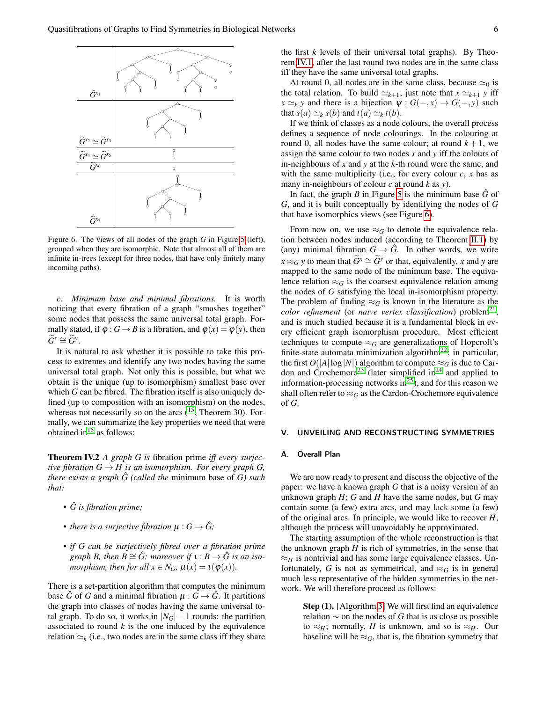

<span id="page-5-1"></span>Figure 6. The views of all nodes of the graph *G* in Figure [5](#page-4-2) (left), grouped when they are isomorphic. Note that almost all of them are infinite in-trees (except for three nodes, that have only finitely many incoming paths).

*c. Minimum base and minimal fibrations.* It is worth noticing that every fibration of a graph "smashes together" some nodes that possess the same universal total graph. Formally stated, if  $\varphi$  :  $G \rightarrow B$  is a fibration, and  $\varphi(x) = \varphi(y)$ , then  $\widetilde{G}^x \cong \widetilde{G}^y.$ 

It is natural to ask whether it is possible to take this process to extremes and identify any two nodes having the same universal total graph. Not only this is possible, but what we obtain is the unique (up to isomorphism) smallest base over which *G* can be fibred. The fibration itself is also uniquely defined (up to composition with an isomorphism) on the nodes, whereas not necessarily so on the arcs  $(1^{\overline{5}}$ , Theorem 30). Formally, we can summarize the key properties we need that were obtained in $15$  as follows:

Theorem IV.2 *A graph G is* fibration prime *iff every surjective fibration*  $G \rightarrow H$  *is an isomorphism. For every graph*  $G$ , *there exists a graph*  $\hat{G}$  *(called the minimum base of G) such that:*

- *• G is fibration prime;* ˆ
- *there is a surjective fibration*  $\mu : G \to \hat{G}$ ;
- *• if G can be surjectively fibred over a fibration prime graph B, then B*  $\cong$  *G; moreover if*  $\iota$  : *B*  $\rightarrow$  *G is an isomorphism, then for all*  $x \in N_G$ ,  $\mu(x) = \iota(\varphi(x))$ .

There is a set-partition algorithm that computes the minimum base *G* of *G* and a minimal fibration  $\mu$  :  $G \rightarrow G$ . It partitions the graph into classes of nodes having the same universal total graph. To do so, it works in  $|N_G| - 1$  rounds: the partition associated to round *k* is the one induced by the equivalence relation  $\simeq_k$  (i.e., two nodes are in the same class iff they share the first *k* levels of their universal total graphs). By Theorem [IV.1,](#page-4-3) after the last round two nodes are in the same class iff they have the same universal total graphs.

At round 0, all nodes are in the same class, because  $\simeq_0$  is the total relation. To build  $\simeq_{k+1}$ , just note that  $x \simeq_{k+1} y$  iff  $x \simeq_k y$  and there is a bijection  $\psi : G(-, x) \to G(-, y)$  such that  $s(a) \simeq_k s(b)$  and  $t(a) \simeq_k t(b)$ .

If we think of classes as a node colours, the overall process defines a sequence of node colourings. In the colouring at round 0, all nodes have the same colour; at round  $k + 1$ , we assign the same colour to two nodes *x* and *y* iff the colours of in-neighbours of *x* and *y* at the *k*-th round were the same, and with the same multiplicity (i.e., for every colour  $c$ ,  $x$  has as many in-neighbours of colour *c* at round *k* as *y*).

In fact, the graph *B* in Figure [5](#page-4-2) is the minimum base  $\hat{G}$  of *G*, and it is built conceptually by identifying the nodes of *G* that have isomorphics views (see Figure [6\)](#page-5-1).

From now on, we use  $\approx_G$  to denote the equivalence relation between nodes induced (according to Theorem [II.1\)](#page-2-1) by (any) minimal fibration  $G \rightarrow \hat{G}$ . In other words, we write *x* ≈ *G y* to mean that  $\widetilde{G}^x \cong \widetilde{G}^y$  or that, equivalently, *x* and *y* are mapped to the same node of the minimum base. The equivalence relation  $\approx_G$  is the coarsest equivalence relation among the nodes of *G* satisfying the local in-isomorphism property. The problem of finding  $\approx_G$  is known in the literature as the color refinement (or *naive vertex classification*) problem<sup>[21](#page-14-17)</sup>, and is much studied because it is a fundamental block in every efficient graph isomorphism procedure. Most efficient techniques to compute  $\approx_G$  are generalizations of Hopcroft's finite-state automata minimization algorithm<sup>[22](#page-14-18)</sup>; in particular, the first  $O(|A|\log|N|)$  algorithm to compute  $\approx_G$  is due to Car-don and Crochemore<sup>[23](#page-14-19)</sup> (later simplified in<sup>[24](#page-14-20)</sup> and applied to information-processing networks in<sup>[25](#page-14-21)</sup>), and for this reason we shall often refer to  $\approx_G$  as the Cardon-Crochemore equivalence of *G*.

#### <span id="page-5-0"></span>UNVEILING AND RECONSTRUCTING SYMMETRIES

# A. Overall Plan

We are now ready to present and discuss the objective of the paper: we have a known graph *G* that is a noisy version of an unknown graph *H*; *G* and *H* have the same nodes, but *G* may contain some (a few) extra arcs, and may lack some (a few) of the original arcs. In principle, we would like to recover *H*, although the process will unavoidably be approximated.

The starting assumption of the whole reconstruction is that the unknown graph  $H$  is rich of symmetries, in the sense that  $\approx$ *H* is nontrivial and has some large equivalence classes. Unfortunately, *G* is not as symmetrical, and  $\approx_G$  is in general much less representative of the hidden symmetries in the network. We will therefore proceed as follows:

Step (1). [Algorithm [3\]](#page-9-0) We will first find an equivalence relation ∼ on the nodes of *G* that is as close as possible to  $\approx_H$ ; normally, *H* is unknown, and so is  $\approx_H$ . Our baseline will be  $\approx_G$ , that is, the fibration symmetry that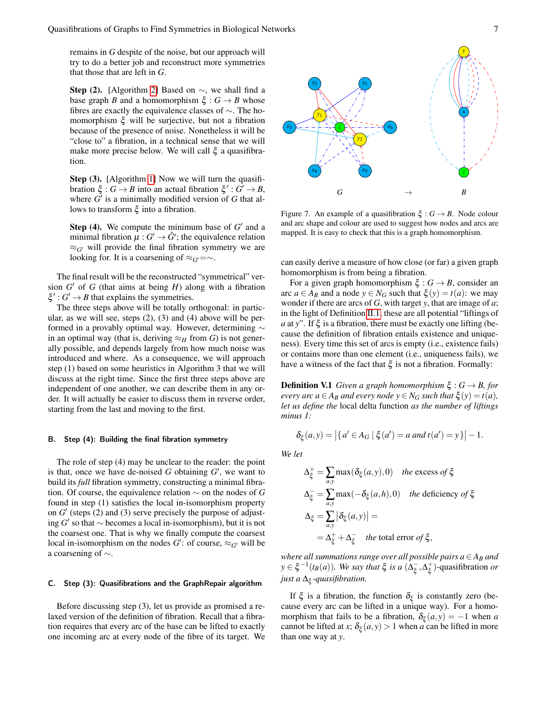remains in *G* despite of the noise, but our approach will try to do a better job and reconstruct more symmetries that those that are left in *G*.

**Step (2).** [Algorithm [2\]](#page-8-0) Based on  $\sim$ , we shall find a base graph *B* and a homomorphism  $\xi : G \to B$  whose fibres are exactly the equivalence classes of ∼. The homomorphism  $\xi$  will be surjective, but not a fibration because of the presence of noise. Nonetheless it will be "close to" a fibration, in a technical sense that we will make more precise below. We will call  $\xi$  a quasifibration.

Step (3). [Algorithm [1\]](#page-7-0) Now we will turn the quasifibration  $\xi : G \to B$  into an actual fibration  $\xi' : G' \to B$ , where  $G'$  is a minimally modified version of  $G$  that allows to transform ξ into a fibration.

**Step (4).** We compute the minimum base of  $G'$  and a minimal fibration  $\mu: G' \to \hat{G}'$ ; the equivalence relation  $\approx_{G'}$  will provide the final fibration symmetry we are looking for. It is a coarsening of  $\approx_G t = \sim$ .

The final result will be the reconstructed "symmetrical" version  $G'$  of  $G$  (that aims at being  $H$ ) along with a fibration  $\xi'$ :  $G' \rightarrow B$  that explains the symmetries.

The three steps above will be totally orthogonal: in particular, as we will see, steps  $(2)$ ,  $(3)$  and  $(4)$  above will be performed in a provably optimal way. However, determining ∼ in an optimal way (that is, deriving  $\approx_H$  from *G*) is not generally possible, and depends largely from how much noise was introduced and where. As a consequence, we will approach step (1) based on some heuristics in Algorithm 3 that we will discuss at the right time. Since the first three steps above are independent of one another, we can describe them in any order. It will actually be easier to discuss them in reverse order, starting from the last and moving to the first.

#### B. Step (4): Building the final fibration symmetry

The role of step (4) may be unclear to the reader: the point is that, once we have de-noised  $G$  obtaining  $G'$ , we want to build its *full* fibration symmetry, constructing a minimal fibration. Of course, the equivalence relation ∼ on the nodes of *G* found in step (1) satisfies the local in-isomorphism property on  $G'$  (steps  $(2)$  and  $(3)$  serve precisely the purpose of adjusting  $G'$  so that  $∼$  becomes a local in-isomorphism), but it is not the coarsest one. That is why we finally compute the coarsest local in-isomorphism on the nodes  $G'$ : of course,  $\approx_{G'}$  will be a coarsening of  $\sim$ .

#### C. Step (3): Quasifibrations and the GraphRepair algorithm

Before discussing step (3), let us provide as promised a relaxed version of the definition of fibration. Recall that a fibration requires that every arc of the base can be lifted to exactly one incoming arc at every node of the fibre of its target. We



<span id="page-6-0"></span>Figure 7. An example of a quasifibration  $\xi : G \to B$ . Node colour and arc shape and colour are used to suggest how nodes and arcs are mapped. It is easy to check that this is a graph homomorphism.

can easily derive a measure of how close (or far) a given graph homomorphism is from being a fibration.

For a given graph homomorphism  $\xi : G \to B$ , consider an arc  $a \in A_B$  and a node  $y \in N_G$  such that  $\xi(y) = t(a)$ : we may wonder if there are arcs of *G*, with target *y*, that are image of *a*; in the light of Definition [II.1,](#page-1-2) these are all potential "liftings of *a* at *y*". If  $\xi$  is a fibration, there must be exactly one lifting (because the definition of fibration entails existence and uniqueness). Every time this set of arcs is empty (i.e., existence fails) or contains more than one element (i.e., uniqueness fails), we have a witness of the fact that  $\xi$  is not a fibration. Formally:

**Definition V.1** *Given a graph homomorphism*  $\xi$  :  $G \rightarrow B$ *, for every arc a*  $\in$  *A<sub>B</sub> and every node y*  $\in$  *N<sub>G</sub> such that*  $\xi$  (*y*) = *t*(*a*)*, let us define the* local delta function *as the number of liftings minus 1:*

$$
\delta_{\xi}(a, y) = |\{a' \in A_G \mid \xi(a') = a \text{ and } t(a') = y\}| - 1.
$$

*We let*

$$
\Delta_{\xi}^{+} = \sum_{a,y} \max(\delta_{\xi}(a,y), 0) \quad \text{the excess of } \xi
$$
\n
$$
\Delta_{\xi}^{-} = \sum_{a,y} \max(-\delta_{\xi}(a, h), 0) \quad \text{the deficiency of } \xi
$$
\n
$$
\Delta_{\xi} = \sum_{a,y} |\delta_{\xi}(a, y)| =
$$
\n
$$
= \Delta_{\xi}^{+} + \Delta_{\xi}^{-} \quad \text{the total error of } \xi,
$$

*where all summations range over all possible pairs*  $a \in A_B$  *and*  $y \in \xi^{-1}(t_B(a))$ *. We say that*  $\xi$  *is a*  $(\Delta_{\xi}^{-})$  $_{\xi}^{-}, \Delta_{\xi}^{+}$ ξ )-quasifibration *or just a* ∆<sup>ξ</sup> *-quasifibration.*

If  $\xi$  is a fibration, the function  $\delta_{\xi}$  is constantly zero (because every arc can be lifted in a unique way). For a homomorphism that fails to be a fibration,  $\delta_{\xi}(a, y) = -1$  when *a* cannot be lifted at *x*;  $\delta_{\xi}(a, y) > 1$  when *a* can be lifted in more than one way at *y*.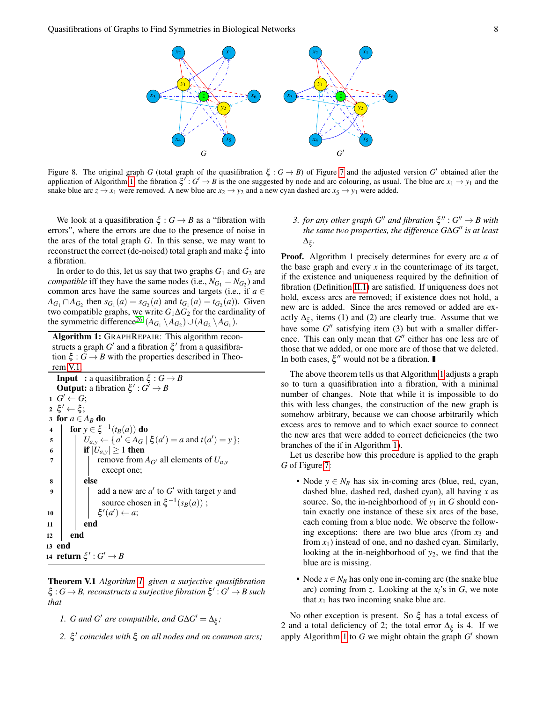

<span id="page-7-2"></span>Figure 8. The original graph *G* (total graph of the quasifibration  $\xi$ :  $G \to B$ ) of Figure [7](#page-6-0) and the adjusted version  $G'$  obtained after the application of Algorithm [1;](#page-7-0) the fibration  $\xi'$ :  $G' \to B$  is the one suggested by node and arc colouring, as usual. The blue arc  $x_1 \to y_1$  and the snake blue arc  $z \to x_1$  were removed. A new blue arc  $x_2 \to y_2$  and a new cyan dashed arc  $x_5 \to y_1$  were added.

We look at a quasifibration  $\xi : G \to B$  as a "fibration with errors", where the errors are due to the presence of noise in the arcs of the total graph *G*. In this sense, we may want to reconstruct the correct (de-noised) total graph and make  $\xi$  into a fibration.

In order to do this, let us say that two graphs  $G_1$  and  $G_2$  are *compatible* iff they have the same nodes (i.e.,  $N_{G_1} = N_{G_2}$ ) and common arcs have the same sources and targets (i.e., if  $a \in$ *A*<sub>*G*1</sub></sub>  $\cap$  *A*<sub>*G*<sub>2</sub></sub> then *s*<sub>*G*<sub>1</sub></sub>(*a*) = *s*<sub>*G*<sub>2</sub></sub>(*a*) and *t*<sub>*G*<sub>1</sub></sub>(*a*) = *t<sub>G<sub>2</sub></sub>*(*a*)). Given two compatible graphs, we write  $G_1 \Delta G_2$  for the cardinality of the symmetric difference<sup>[26](#page-15-0)</sup>  $(A_{G_1} \setminus A_{G_2}) \cup (A_{G_2} \setminus A_{G_1})$ .

Algorithm 1: GRAPHREPAIR: This algorithm reconstructs a graph  $G'$  and a fibration  $\xi'$  from a quasifibration  $\xi$  :  $G \rightarrow B$  with the properties described in Theorem [V.1.](#page-7-1)

```
Input : a quasifibration \xi : G \rightarrow BOutput: a fibration \xi' : G' \to B1 \ G' \leftarrow G;2 \xi' \leftarrow \xi;
3 for a \in A_B do
 4 \int for y \in \xi^{-1}(t_B(a)) do
 U_{a,y} \leftarrow \{a' \in A_G \mid \xi(a') = a \text{ and } t(a') = y\};6 if |U_{a,y}| \ge 1 then
 7 \mid remove from A_G all elements of U_{a,y}except one;
 8 else
 9 \parallel \parallel add a new arc a' to G' with target y and
                   source chosen in \xi^{-1}(s_B(a));
10 | | | ξ
                   \prime(a') \leftarrow a;11 \mid \cdot \cdot \cdot end
12 end
13 end
14 return \xi' : G' \to B
```
<span id="page-7-1"></span><span id="page-7-0"></span>Theorem V.1 *Algorithm [1,](#page-7-0) given a surjective quasifibration*  $\xi: G \to B$ , reconstructs a surjective fibration  $\xi': G' \to B$  such *that*

- *1. G* and *G'* are compatible, and  $G\Delta G' = \Delta_{\xi}$ ;
- *2.* ξ 0 *coincides with* ξ *on all nodes and on common arcs;*

3. *for any other graph*  $G''$  *and fibration*  $\xi''$  :  $G'' \rightarrow B$  with *the same two properties, the difference G*∆*G* <sup>00</sup> *is at least* ∆ξ *.*

Proof. Algorithm 1 precisely determines for every arc *a* of the base graph and every  $x$  in the counterimage of its target, if the existence and uniqueness required by the definition of fibration (Definition [II.1\)](#page-1-2) are satisfied. If uniqueness does not hold, excess arcs are removed; if existence does not hold, a new arc is added. Since the arcs removed or added are exactly  $\Delta_{\xi}$ , items (1) and (2) are clearly true. Assume that we have some  $G''$  satisfying item (3) but with a smaller difference. This can only mean that  $G''$  either has one less arc of those that we added, or one more arc of those that we deleted. In both cases,  $\xi''$  would not be a fibration.

The above theorem tells us that Algorithm [1](#page-7-0) adjusts a graph so to turn a quasifibration into a fibration, with a minimal number of changes. Note that while it is impossible to do this with less changes, the construction of the new graph is somehow arbitrary, because we can choose arbitrarily which excess arcs to remove and to which exact source to connect the new arcs that were added to correct deficiencies (the two branches of the if in Algorithm [1\)](#page-7-0).

Let us describe how this procedure is applied to the graph *G* of Figure [7:](#page-6-0)

- Node  $y \in N_B$  has six in-coming arcs (blue, red, cyan, dashed blue, dashed red, dashed cyan), all having *x* as source. So, the in-neighborhood of  $y_1$  in *G* should contain exactly one instance of these six arcs of the base, each coming from a blue node. We observe the following exceptions: there are two blue arcs (from  $x_3$  and from  $x_1$ ) instead of one, and no dashed cyan. Similarly, looking at the in-neighborhood of *y*2, we find that the blue arc is missing.
- Node  $x \in N_B$  has only one in-coming arc (the snake blue arc) coming from *z*. Looking at the *xi*'s in *G*, we note that  $x_1$  has two incoming snake blue arc.

No other exception is present. So  $\xi$  has a total excess of 2 and a total deficiency of 2; the total error  $\Delta_{\xi}$  is 4. If we apply Algorithm [1](#page-7-0) to  $G$  we might obtain the graph  $G'$  shown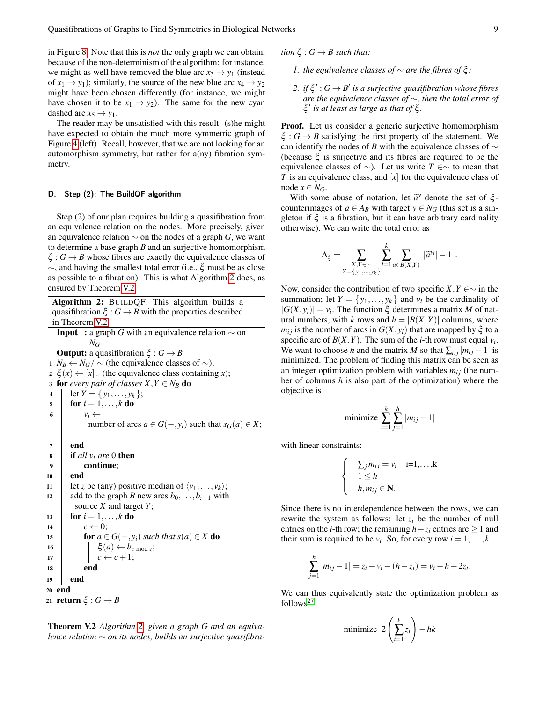in Figure [8.](#page-7-2) Note that this is *not* the only graph we can obtain, because of the non-determinism of the algorithm: for instance, we might as well have removed the blue arc  $x_3 \rightarrow y_1$  (instead of  $x_1 \rightarrow y_1$ ); similarly, the source of the new blue arc  $x_4 \rightarrow y_2$ might have been chosen differently (for instance, we might have chosen it to be  $x_1 \rightarrow y_2$ ). The same for the new cyan dashed arc  $x_5 \rightarrow y_1$ .

The reader may be unsatisfied with this result: (s)he might have expected to obtain the much more symmetric graph of Figure [4](#page-4-1) (left). Recall, however, that we are not looking for an automorphism symmetry, but rather for a(ny) fibration symmetry.

# D. Step (2): The BuildQF algorithm

Step (2) of our plan requires building a quasifibration from an equivalence relation on the nodes. More precisely, given an equivalence relation ∼ on the nodes of a graph *G*, we want to determine a base graph *B* and an surjective homomorphism  $\xi$ :  $G \rightarrow B$  whose fibres are exactly the equivalence classes of ∼, and having the smallest total error (i.e., ξ must be as close as possible to a fibration). This is what Algorithm [2](#page-8-0) does, as ensured by Theorem [V.2.](#page-8-1)

Algorithm 2: BUILDQF: This algorithm builds a quasifibration  $\xi$  :  $G \rightarrow B$  with the properties described in Theorem [V.2.](#page-8-1)

**Input** : a graph *G* with an equivalence relation  $\sim$  on  $N_G$ 

**Output:** a quasifibration  $\xi$ :  $G \rightarrow B$ 1 *N<sub>B</sub>* ← *N<sub>G</sub>*/  $\sim$  (the equivalence classes of  $\sim$ ); <sup>2</sup> ξ (*x*) ← [*x*]<sup>∼</sup> (the equivalence class containing *x*); 3 for *every pair of classes*  $X, Y \in N_B$  do 4 | let  $Y = \{y_1, \ldots, y_k\};$  $\mathbf{5}$  | for  $i = 1, \ldots, k$  do 6  $v_i \leftarrow$ number of arcs  $a \in G(-, y_i)$  such that  $s_G(a) \in X$ ; 7 end  $\mathbf{s}$  **if** all  $v_i$  are 0 then <sup>9</sup> continue; <sup>10</sup> end 11 | let *z* be (any) positive median of  $\langle v_1, \ldots, v_k \rangle$ ; 12 add to the graph *B* new arcs  $b_0, \ldots, b_{z-1}$  with source *X* and target *Y*; 13 **for**  $i = 1, ..., k$  **do** 14  $c \leftarrow 0$ ; 15 **for**  $a \in G(-, y_i)$  *such that*  $s(a) \in X$  **do** 16  $\vert \vert \vert \xi(a) \leftarrow b_{c \bmod z};$ 17  $c \leftarrow c+1;$ 18 **end** <sup>19</sup> end <sup>20</sup> end 21 **return**  $\xi$  :  $G \rightarrow B$ 

<span id="page-8-1"></span><span id="page-8-0"></span>Theorem V.2 *Algorithm [2,](#page-8-0) given a graph G and an equivalence relation* ∼ *on its nodes, builds an surjective quasifibra-* *tion*  $\xi$  :  $G \rightarrow B$  *such that:* 

- *fl*. *the equivalence classes of*  $\sim$  *are the fibres of*  $ξ$ *;*
- 2. *if*  $\xi'$ :  $G \rightarrow B'$  is a surjective quasifibration whose fibres *are the equivalence classes of* ∼*, then the total error of* ξ 0 *is at least as large as that of* ξ *.*

Proof. Let us consider a generic surjective homomorphism  $\xi: G \to B$  satisfying the first property of the statement. We can identify the nodes of *B* with the equivalence classes of ∼ (because  $\xi$  is surjective and its fibres are required to be the equivalence classes of ∼). Let us write *T* ∈∼ to mean that *T* is an equivalence class, and [*x*] for the equivalence class of node  $x \in N_G$ .

With some abuse of notation, let  $\tilde{a}^y$  denote the set of  $\xi$ -<br>unterimages of  $g \in A$ -s with target  $y \in N_G$  (this set is a sin counterimages of  $a \in A_B$  with target  $y \in N_G$  (this set is a singleton if  $\xi$  is a fibration, but it can have arbitrary cardinality otherwise). We can write the total error as

$$
\Delta_\xi = \sum_{\substack{X,Y \in \sim \\ Y = \{y_1,\ldots,y_k\}}} \sum_{i=1}^k \sum_{a \in B(X,Y)} ||\widetilde{a}^{y_i}|-1|.
$$

Now, consider the contribution of two specific *X*, *Y* ∈∼ in the summation; let  $Y = \{y_1, \ldots, y_k\}$  and  $v_i$  be the cardinality of  $|G(X, y_i)| = v_i$ . The function  $\xi$  determines a matrix M of natural numbers, with *k* rows and  $h = |B(X, Y)|$  columns, where *m*<sub>*i*</sub> *i* s the number of arcs in *G*(*X*, *y*<sub>*i*</sub>) that are mapped by ξ to a specific arc of  $B(X, Y)$ . The sum of the *i*-th row must equal  $v_i$ . We want to choose *h* and the matrix *M* so that  $\sum_{i,j} |m_{ij} - 1|$  is minimized. The problem of finding this matrix can be seen as an integer optimization problem with variables  $m_{ij}$  (the number of columns *h* is also part of the optimization) where the objective is

minimize 
$$
\sum_{i=1}^{k} \sum_{j=1}^{h} |m_{ij} - 1|
$$

with linear constraints:

$$
\begin{cases}\n\sum_{j} m_{ij} = v_i & \text{ i=1,...,k} \\
1 \leq h & \text{ h}, m_{ij} \in \mathbb{N}.\n\end{cases}
$$

Since there is no interdependence between the rows, we can rewrite the system as follows: let  $z_i$  be the number of null entries on the *i*-th row; the remaining  $h-z_i$  entries are  $\geq 1$  and their sum is required to be  $v_i$ . So, for every row  $i = 1, ..., k$ 

$$
\sum_{j=1}^{h} |m_{ij} - 1| = z_i + v_i - (h - z_i) = v_i - h + 2z_i.
$$

We can thus equivalently state the optimization problem as follows<sup>[27](#page-15-1)</sup>

$$
\text{minimize } 2\left(\sum_{i=1}^{k} z_i\right) - hk
$$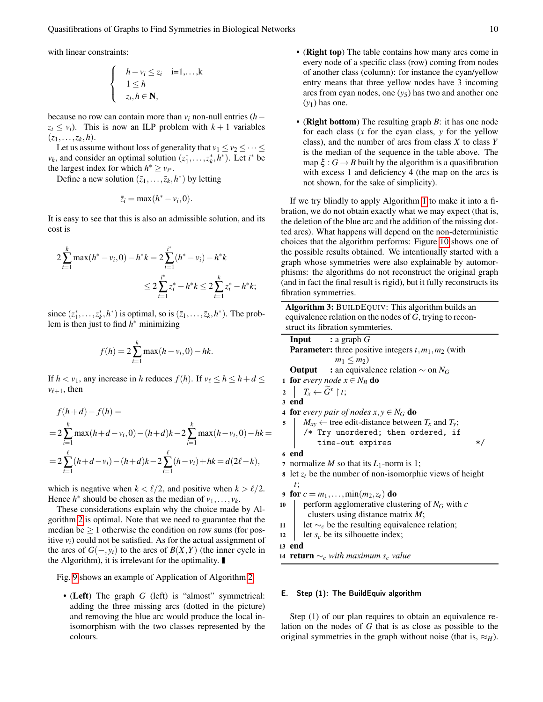with linear constraints:

$$
\begin{cases}\n h - v_i \leq z_i & \text{ i=1,...,k} \\
 1 \leq h \\
 z_i, h \in \mathbf{N},\n\end{cases}
$$

because no row can contain more than  $v_i$  non-null entries ( $h$  –  $z_i \le v_i$ ). This is now an ILP problem with  $k+1$  variables  $(z_1, \ldots, z_k, h).$ 

Let us assume without loss of generality that  $v_1 \le v_2 \le \cdots \le$  $v_k$ , and consider an optimal solution  $(z_1^*,...,z_k^*,h^*)$ . Let *i*<sup>\*</sup> be the largest index for which  $h^* \ge v_{i^*}$ .

Define a new solution  $(\bar{z}_1, \ldots, \bar{z}_k, h^*)$  by letting

$$
\bar{z}_i = \max(h^* - v_i, 0).
$$

It is easy to see that this is also an admissible solution, and its cost is

$$
2\sum_{i=1}^{k} \max(h^* - v_i, 0) - h^*k = 2\sum_{i=1}^{i^*} (h^* - v_i) - h^*k
$$
  

$$
\leq 2\sum_{i=1}^{i^*} z_i^* - h^*k \leq 2\sum_{i=1}^{k} z_i^* - h^*k;
$$

since  $(z_1^*,...,z_k^*,h^*)$  is optimal, so is  $(\bar{z}_1,...,\bar{z}_k,h^*)$ . The problem is then just to find  $h^*$  minimizing

$$
f(h) = 2\sum_{i=1}^{k} \max(h - v_i, 0) - hk.
$$

If  $h < v_1$ , any increase in *h* reduces  $f(h)$ . If  $v_\ell \leq h \leq h + d \leq$  $v_{\ell+1}$ , then

$$
f(h+d) - f(h) =
$$
  
=  $2 \sum_{i=1}^{k} \max(h+d-v_i, 0) - (h+d)k - 2 \sum_{i=1}^{k} \max(h-v_i, 0) - hk =$   
=  $2 \sum_{i=1}^{\ell} (h+d-v_i) - (h+d)k - 2 \sum_{i=1}^{\ell} (h-v_i) + hk = d(2\ell - k),$ 

which is negative when  $k < l/2$ , and positive when  $k > l/2$ . Hence  $h^*$  should be chosen as the median of  $v_1, \ldots, v_k$ .

These considerations explain why the choice made by Algorithm [2](#page-8-0) is optimal. Note that we need to guarantee that the median be  $\geq 1$  otherwise the condition on row sums (for positive  $v_i$ ) could not be satisfied. As for the actual assignment of the arcs of  $G(-, y_i)$  to the arcs of  $B(X, Y)$  (the inner cycle in the Algorithm), it is irrelevant for the optimality.

Fig. [9](#page-10-0) shows an example of Application of Algorithm [2:](#page-8-0)

• (Left) The graph *G* (left) is "almost" symmetrical: adding the three missing arcs (dotted in the picture) and removing the blue arc would produce the local inisomorphism with the two classes represented by the colours.

- (Right top) The table contains how many arcs come in every node of a specific class (row) coming from nodes of another class (column): for instance the cyan/yellow entry means that three yellow nodes have 3 incoming arcs from cyan nodes, one (*y*5) has two and another one (*y*1) has one.
- (Right bottom) The resulting graph *B*: it has one node for each class (*x* for the cyan class, *y* for the yellow class), and the number of arcs from class *X* to class *Y* is the median of the sequence in the table above. The map  $\xi$ :  $G \rightarrow B$  built by the algorithm is a quasifibration with excess 1 and deficiency 4 (the map on the arcs is not shown, for the sake of simplicity).

If we try blindly to apply Algorithm [1](#page-7-0) to make it into a fibration, we do not obtain exactly what we may expect (that is, the deletion of the blue arc and the addition of the missing dotted arcs). What happens will depend on the non-deterministic choices that the algorithm performs: Figure [10](#page-10-1) shows one of the possible results obtained. We intentionally started with a graph whose symmetries were also explainable by automorphisms: the algorithms do not reconstruct the original graph (and in fact the final result is rigid), but it fully reconstructs its fibration symmetries.

Algorithm 3: BUILDEQUIV: This algorithm builds an equivalence relation on the nodes of *G*, trying to reconstruct its fibration symmteries.

Input : a graph *G* **Parameter:** three positive integers  $t$ ,  $m_1$ ,  $m_2$  (with  $m_1 \leq m_2$ Output : an equivalence relation ∼ on *N<sup>G</sup>* 1 for *every node*  $x \in N_B$  do  $2 \mid T_x \leftarrow \widetilde{G}^x \restriction t;$ 3 end 4 **for** *every pair of nodes*  $x, y \in N_G$  **do**  $M_{xy} \leftarrow$  tree edit-distance between  $T_x$  and  $T_y$ ; /\* Try unordered; then ordered, if time-out expires  $*$ / 6 end 7 normalize *M* so that its  $L_1$ -norm is 1; 8 let  $z_t$  be the number of non-isomorphic views of height *t*; 9 for  $c = m_1, ..., min(m_2, z_t)$  do 10 perform agglomerative clustering of  $N_G$  with  $c$ clusters using distance matrix *M*; <sup>11</sup> let ∼*<sup>c</sup>* be the resulting equivalence relation; 12  $\parallel$  let *s<sub>c</sub>* be its silhouette index; <sup>13</sup> end

<span id="page-9-0"></span><sup>14</sup> return ∼*<sup>c</sup> with maximum s<sup>c</sup> value*

#### <span id="page-9-1"></span>E. Step (1): The BuildEquiv algorithm

Step (1) of our plan requires to obtain an equivalence relation on the nodes of *G* that is as close as possible to the original symmetries in the graph without noise (that is,  $\approx_H$ ).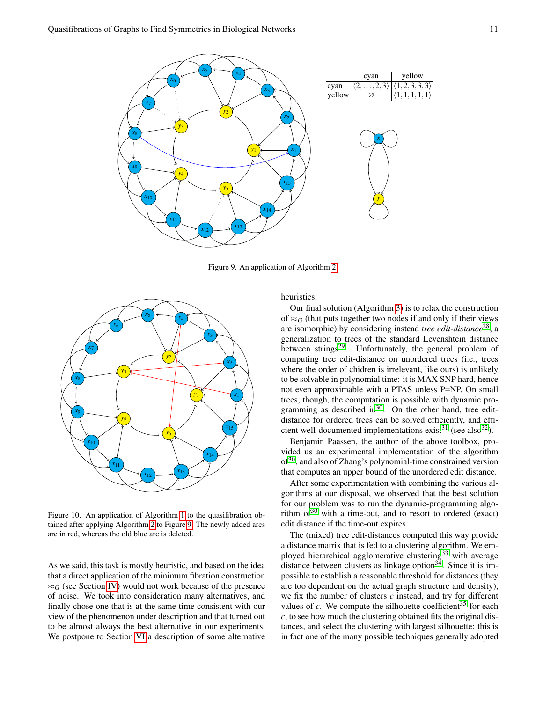

<span id="page-10-0"></span>Figure 9. An application of Algorithm [2.](#page-8-0)



<span id="page-10-1"></span>Figure 10. An application of Algorithm [1](#page-7-0) to the quasifibration obtained after applying Algorithm [2](#page-8-0) to Figure [9.](#page-10-0) The newly added arcs are in red, whereas the old blue arc is deleted.

As we said, this task is mostly heuristic, and based on the idea that a direct application of the minimum fibration construction  $\approx_G$  (see Section [IV\)](#page-4-0) would not work because of the presence of noise. We took into consideration many alternatives, and finally chose one that is at the same time consistent with our view of the phenomenon under description and that turned out to be almost always the best alternative in our experiments. We postpone to Section [VI](#page-11-0) a description of some alternative heuristics.

Our final solution (Algorithm [3\)](#page-9-0) is to relax the construction of  $\approx_G$  (that puts together two nodes if and only if their views are isomorphic) by considering instead *tree edit-distance*[28](#page-15-2), a generalization to trees of the standard Levenshtein distance between strings $2^9$ . Unfortunately, the general problem of computing tree edit-distance on unordered trees (i.e., trees where the order of chidren is irrelevant, like ours) is unlikely to be solvable in polynomial time: it is MAX SNP hard, hence not even approximable with a PTAS unless P=NP. On small trees, though, the computation is possible with dynamic programming as described in $30$ . On the other hand, tree editdistance for ordered trees can be solved efficiently, and effi-cient well-documented implementations exist<sup>[31](#page-15-5)</sup> (see also<sup>[32](#page-15-6)</sup>).

Benjamin Paassen, the author of the above toolbox, provided us an experimental implementation of the algorithm  $of<sup>30</sup>$  $of<sup>30</sup>$  $of<sup>30</sup>$ , and also of Zhang's polynomial-time constrained version that computes an upper bound of the unordered edit distance.

After some experimentation with combining the various algorithms at our disposal, we observed that the best solution for our problem was to run the dynamic-programming algorithm  $of<sup>30</sup>$  $of<sup>30</sup>$  $of<sup>30</sup>$  with a time-out, and to resort to ordered (exact) edit distance if the time-out expires.

The (mixed) tree edit-distances computed this way provide a distance matrix that is fed to a clustering algorithm. We em-ployed hierarchical agglomerative clustering<sup>[33](#page-15-7)</sup> with average distance between clusters as linkage option $3<sup>34</sup>$  $3<sup>34</sup>$  $3<sup>34</sup>$ . Since it is impossible to establish a reasonable threshold for distances (they are too dependent on the actual graph structure and density), we fix the number of clusters *c* instead, and try for different values of  $c$ . We compute the silhouette coefficient<sup>[35](#page-15-9)</sup> for each *c*, to see how much the clustering obtained fits the original distances, and select the clustering with largest silhouette: this is in fact one of the many possible techniques generally adopted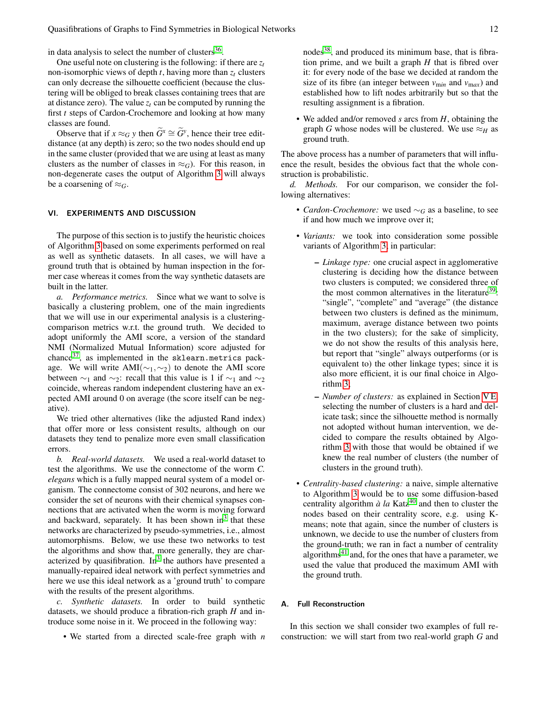in data analysis to select the number of clusters<sup>[36](#page-15-10)</sup>.

One useful note on clustering is the following: if there are *z<sup>t</sup>* non-isomorphic views of depth  $t$ , having more than  $z_t$  clusters can only decrease the silhouette coefficient (because the clustering will be obliged to break classes containing trees that are at distance zero). The value  $z_t$  can be computed by running the first *t* steps of Cardon-Crochemore and looking at how many classes are found.

Observe that if  $x \approx_G y$  then  $\widetilde{G}^x \cong \widetilde{G}^y$ , hence their tree editdistance (at any depth) is zero; so the two nodes should end up in the same cluster (provided that we are using at least as many clusters as the number of classes in  $\approx_G$ ). For this reason, in non-degenerate cases the output of Algorithm [3](#page-9-0) will always be a coarsening of  $\approx_G$ .

# <span id="page-11-0"></span>VI. EXPERIMENTS AND DISCUSSION

The purpose of this section is to justify the heuristic choices of Algorithm [3](#page-9-0) based on some experiments performed on real as well as synthetic datasets. In all cases, we will have a ground truth that is obtained by human inspection in the former case whereas it comes from the way synthetic datasets are built in the latter.

*a. Performance metrics.* Since what we want to solve is basically a clustering problem, one of the main ingredients that we will use in our experimental analysis is a clusteringcomparison metrics w.r.t. the ground truth. We decided to adopt uniformly the AMI score, a version of the standard NMI (Normalized Mutual Information) score adjusted for chance $37$ , as implemented in the sklearn.metrics package. We will write AMI( $\sim_1, \sim_2$ ) to denote the AMI score between  $\sim_1$  and  $\sim_2$ : recall that this value is 1 if  $\sim_1$  and  $\sim_2$ coincide, whereas random independent clustering have an expected AMI around 0 on average (the score itself can be negative).

We tried other alternatives (like the adjusted Rand index) that offer more or less consistent results, although on our datasets they tend to penalize more even small classification errors.

*b. Real-world datasets.* We used a real-world dataset to test the algorithms. We use the connectome of the worm *C. elegans* which is a fully mapped neural system of a model organism. The connectome consist of 302 neurons, and here we consider the set of neurons with their chemical synapses connections that are activated when the worm is moving forward and backward, separately. It has been shown in<sup>[3](#page-14-22)</sup> that these networks are characterized by pseudo-symmetries, i.e., almost automorphisms. Below, we use these two networks to test the algorithms and show that, more generally, they are char-acterized by quasifibration. In<sup>[3](#page-14-22)</sup> the authors have presented a manually-repaired ideal network with perfect symmetries and here we use this ideal network as a 'ground truth' to compare with the results of the present algorithms.

*c. Synthetic datasets.* In order to build synthetic datasets, we should produce a fibration-rich graph *H* and introduce some noise in it. We proceed in the following way:

• We started from a directed scale-free graph with *n*

nodes<sup>[38](#page-15-12)</sup>, and produced its minimum base, that is fibration prime, and we built a graph *H* that is fibred over it: for every node of the base we decided at random the size of its fibre (an integer between  $v_{\text{min}}$  and  $v_{\text{max}}$ ) and established how to lift nodes arbitrarily but so that the resulting assignment is a fibration.

• We added and/or removed *s* arcs from *H*, obtaining the graph *G* whose nodes will be clustered. We use  $\approx_H$  as ground truth.

The above process has a number of parameters that will influence the result, besides the obvious fact that the whole construction is probabilistic.

*d. Methods.* For our comparison, we consider the following alternatives:

- *Cardon-Crochemore:* we used ∼*<sup>G</sup>* as a baseline, to see if and how much we improve over it;
- *Variants:* we took into consideration some possible variants of Algorithm [3;](#page-9-0) in particular:
	- *Linkage type:* one crucial aspect in agglomerative clustering is deciding how the distance between two clusters is computed; we considered three of the most common alternatives in the literature<sup>[39](#page-15-13)</sup>: "single", "complete" and "average" (the distance between two clusters is defined as the minimum, maximum, average distance between two points in the two clusters); for the sake of simplicity, we do not show the results of this analysis here, but report that "single" always outperforms (or is equivalent to) the other linkage types; since it is also more efficient, it is our final choice in Algorithm [3;](#page-9-0)
	- *Number of clusters:* as explained in Section [V E,](#page-9-1) selecting the number of clusters is a hard and delicate task; since the silhouette method is normally not adopted without human intervention, we decided to compare the results obtained by Algorithm [3](#page-9-0) with those that would be obtained if we knew the real number of clusters (the number of clusters in the ground truth).
- *Centrality-based clustering:* a naive, simple alternative to Algorithm [3](#page-9-0) would be to use some diffusion-based centrality algorithm  $\dot{a}$  la Katz<sup>[40](#page-15-14)</sup> and then to cluster the nodes based on their centrality score, e.g. using Kmeans; note that again, since the number of clusters is unknown, we decide to use the number of clusters from the ground-truth; we ran in fact a number of centrality algorithms $41$  and, for the ones that have a parameter, we used the value that produced the maximum AMI with the ground truth.

# A. Full Reconstruction

In this section we shall consider two examples of full reconstruction: we will start from two real-world graph *G* and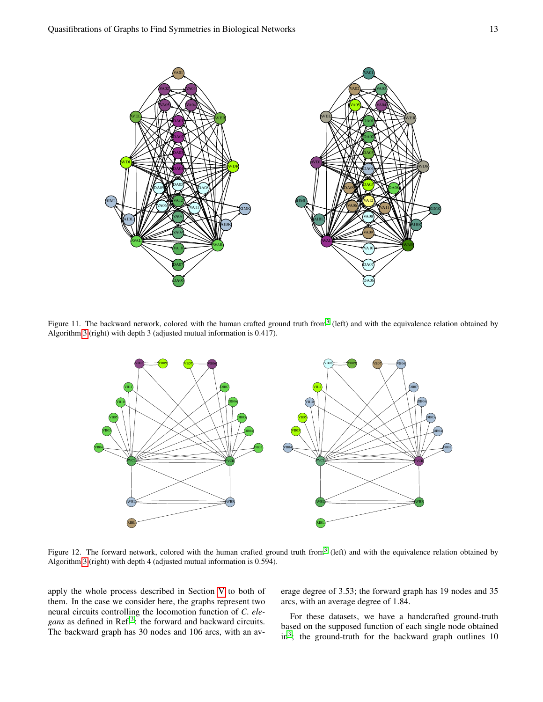

Figure 11. The backward network, colored with the human crafted ground truth from<sup>[3](#page-14-22)</sup> (left) and with the equivalence relation obtained by Algorithm [3](#page-9-0) (right) with depth 3 (adjusted mutual information is 0.417).

<span id="page-12-0"></span>

<span id="page-12-1"></span>Figure 12. The forward network, colored with the human crafted ground truth from<sup>[3](#page-14-22)</sup> (left) and with the equivalence relation obtained by Algorithm [3](#page-9-0) (right) with depth 4 (adjusted mutual information is 0.594).

apply the whole process described in Section [V](#page-5-0) to both of them. In the case we consider here, the graphs represent two neural circuits controlling the locomotion function of *C. elegans* as defined in Ref.[3](#page-14-22) : the forward and backward circuits. The backward graph has 30 nodes and 106 arcs, with an average degree of 3.53; the forward graph has 19 nodes and 35 arcs, with an average degree of 1.84.

For these datasets, we have a handcrafted ground-truth based on the supposed function of each single node obtained in<sup>[3](#page-14-22)</sup>; the ground-truth for the backward graph outlines 10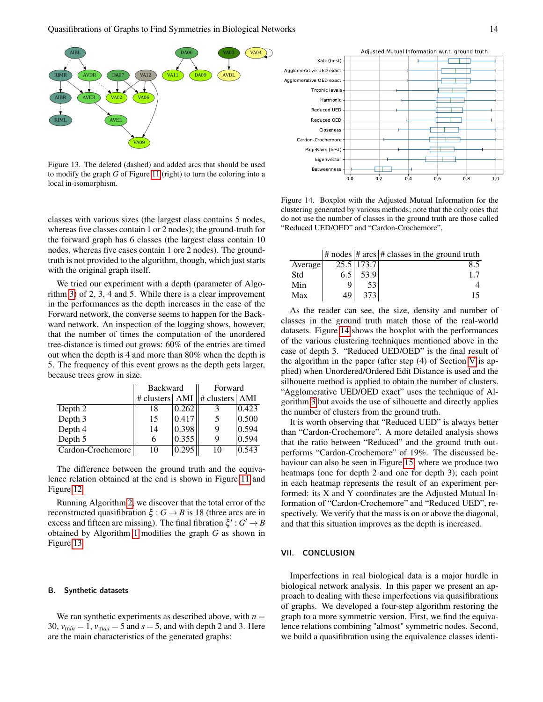

<span id="page-13-0"></span>Figure 13. The deleted (dashed) and added arcs that should be used to modify the graph *G* of Figure [11](#page-12-0) (right) to turn the coloring into a local in-isomorphism.

classes with various sizes (the largest class contains 5 nodes, whereas five classes contain 1 or 2 nodes); the ground-truth for the forward graph has 6 classes (the largest class contain 10 nodes, whereas five cases contain 1 ore 2 nodes). The groundtruth is not provided to the algorithm, though, which just starts with the original graph itself.

We tried our experiment with a depth (parameter of Algorithm [3\)](#page-9-0) of 2, 3, 4 and 5. While there is a clear improvement in the performances as the depth increases in the case of the Forward network, the converse seems to happen for the Backward network. An inspection of the logging shows, however, that the number of times the computation of the unordered tree-distance is timed out grows: 60% of the entries are timed out when the depth is 4 and more than 80% when the depth is 5. The frequency of this event grows as the depth gets larger, because trees grow in size.

|                   | <b>Backward</b>     |       | Forward          |       |
|-------------------|---------------------|-------|------------------|-------|
|                   | $\#$ clusters   AMI |       | # clusters   AMI |       |
| Depth 2           | 18                  | 0.262 |                  | 0.423 |
| Depth 3           | 15                  | 0.417 |                  | 0.500 |
| Depth 4           | 14                  | 0.398 | 9                | 0.594 |
| Depth 5           | 6                   | 0.355 |                  | 0.594 |
| Cardon-Crochemore | 10                  | 0.295 | 10               | 0.543 |

The difference between the ground truth and the equivalence relation obtained at the end is shown in Figure [11](#page-12-0) and Figure [12.](#page-12-1)

Running Algorithm [2,](#page-8-0) we discover that the total error of the reconstructed quasifibration  $\xi : G \to B$  is 18 (three arcs are in excess and fifteen are missing). The final fibration  $\xi'$ :  $G' \rightarrow B$ obtained by Algorithm [1](#page-7-0) modifies the graph *G* as shown in Figure [13.](#page-13-0)

#### B. Synthetic datasets

We ran synthetic experiments as described above, with  $n =$ 30,  $v_{\text{min}} = 1$ ,  $v_{\text{max}} = 5$  and  $s = 5$ , and with depth 2 and 3. Here are the main characteristics of the generated graphs:



<span id="page-13-1"></span>Figure 14. Boxplot with the Adjusted Mutual Information for the clustering generated by various methods; note that the only ones that do not use the number of classes in the ground truth are those called "Reduced UED/OED" and "Cardon-Crochemore".

|         |               |            | $\#$ nodes $\#$ arcs $\#$ classes in the ground truth |
|---------|---------------|------------|-------------------------------------------------------|
| Average |               | 25.5 173.7 | 8.5                                                   |
| Std     | $6.5^{\circ}$ | 53.9       |                                                       |
| Min     |               | 53         |                                                       |
| Max     | 49            | 373        |                                                       |

As the reader can see, the size, density and number of classes in the ground truth match those of the real-world datasets. Figure [14](#page-13-1) shows the boxplot with the performances of the various clustering techniques mentioned above in the case of depth 3. "Reduced UED/OED" is the final result of the algorithm in the paper (after step (4) of Section [V](#page-5-0) is applied) when Unordered/Ordered Edit Distance is used and the silhouette method is applied to obtain the number of clusters. "Agglomerative UED/OED exact" uses the technique of Algorithm [3](#page-9-0) but avoids the use of silhouette and directly applies the number of clusters from the ground truth.

It is worth observing that "Reduced UED" is always better than "Cardon-Crochemore". A more detailed analysis shows that the ratio between "Reduced" and the ground truth outperforms "Cardon-Crochemore" of 19%. The discussed behaviour can also be seen in Figure [15,](#page-14-23) where we produce two heatmaps (one for depth 2 and one for depth 3); each point in each heatmap represents the result of an experiment performed: its X and Y coordinates are the Adjusted Mutual Information of "Cardon-Crochemore" and "Reduced UED", respectively. We verify that the mass is on or above the diagonal, and that this situation improves as the depth is increased.

#### VII. CONCLUSION

Imperfections in real biological data is a major hurdle in biological network analysis. In this paper we present an approach to dealing with these imperfections via quasifibrations of graphs. We developed a four-step algorithm restoring the graph to a more symmetric version. First, we find the equivalence relations combining "almost" symmetric nodes. Second, we build a quasifibration using the equivalence classes identi-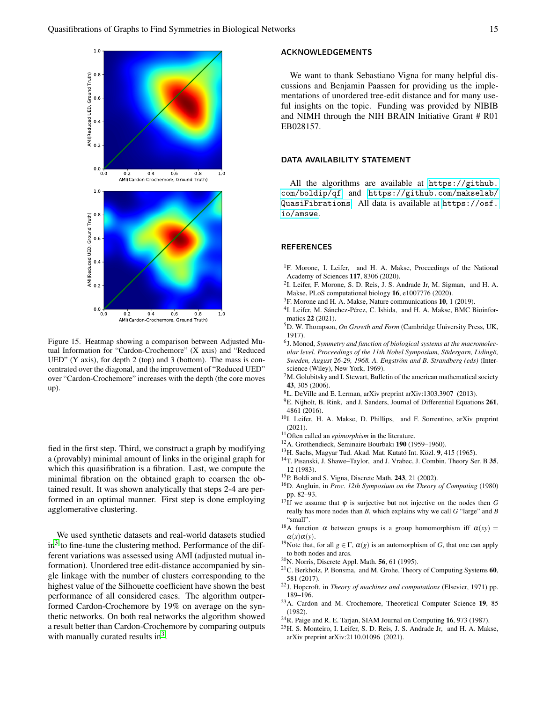

<span id="page-14-23"></span>Figure 15. Heatmap showing a comparison between Adjusted Mutual Information for "Cardon-Crochemore" (X axis) and "Reduced UED" (Y axis), for depth 2 (top) and 3 (bottom). The mass is concentrated over the diagonal, and the improvement of "Reduced UED" over "Cardon-Crochemore" increases with the depth (the core moves up).

fied in the first step. Third, we construct a graph by modifying a (provably) minimal amount of links in the original graph for which this quasifibration is a fibration. Last, we compute the minimal fibration on the obtained graph to coarsen the obtained result. It was shown analytically that steps 2-4 are performed in an optimal manner. First step is done employing agglomerative clustering.

We used synthetic datasets and real-world datasets studied in<sup>[3](#page-14-22)</sup> to fine-tune the clustering method. Performance of the different variations was assessed using AMI (adjusted mutual information). Unordered tree edit-distance accompanied by single linkage with the number of clusters corresponding to the highest value of the Silhouette coefficient have shown the best performance of all considered cases. The algorithm outperformed Cardon-Crochemore by 19% on average on the synthetic networks. On both real networks the algorithm showed a result better than Cardon-Crochemore by comparing outputs with manually curated results in $3$ .

# ACKNOWLEDGEMENTS

We want to thank Sebastiano Vigna for many helpful discussions and Benjamin Paassen for providing us the implementations of unordered tree-edit distance and for many useful insights on the topic. Funding was provided by NIBIB and NIMH through the NIH BRAIN Initiative Grant # R01 EB028157.

### DATA AVAILABILITY STATEMENT

All the algorithms are available at [https://github.](https://github.com/boldip/qf) [com/boldip/qf](https://github.com/boldip/qf) and [https://github.com/makselab/](https://github.com/makselab/QuasiFibrations) [QuasiFibrations](https://github.com/makselab/QuasiFibrations). All data is available at [https://osf.](https://osf.io/amswe) [io/amswe](https://osf.io/amswe).

### **REFERENCES**

- <span id="page-14-0"></span><sup>1</sup>F. Morone, I. Leifer, and H. A. Makse, Proceedings of the National Academy of Sciences 117, 8306 (2020).
- <sup>2</sup>I. Leifer, F. Morone, S. D. Reis, J. S. Andrade Jr, M. Sigman, and H. A. Makse, PLoS computational biology 16, e1007776 (2020).
- <span id="page-14-22"></span> ${}^{3}$ F. Morone and H. A. Makse, Nature communications 10, 1 (2019).
- <span id="page-14-1"></span><sup>4</sup>I. Leifer, M. Sánchez-Pérez, C. Ishida, and H. A. Makse, BMC Bioinformatics 22 (2021).
- <span id="page-14-2"></span><sup>5</sup>D. W. Thompson, *On Growth and Form* (Cambridge University Press, UK, 1917).
- <span id="page-14-3"></span>6 J. Monod, *Symmetry and function of biological systems at the macromolecular level. Proceedings of the 11th Nobel Symposium, Södergarn, Lidingö, Sweden, August 26-29, 1968. A. Engström and B. Strandberg (eds)* (Interscience (Wiley), New York, 1969).
- <span id="page-14-4"></span> $7<sup>M</sup>$ . Golubitsky and I. Stewart, Bulletin of the american mathematical society 43, 305 (2006).
- <sup>8</sup>L. DeVille and E. Lerman, arXiv preprint arXiv:1303.3907 (2013).
- <span id="page-14-5"></span> $9E$ . Nijholt, B. Rink, and J. Sanders, Journal of Differential Equations 261, 4861 (2016).
- <span id="page-14-6"></span><sup>10</sup>I. Leifer, H. A. Makse, D. Phillips, and F. Sorrentino, arXiv preprint (2021).
- <span id="page-14-7"></span><sup>11</sup>Often called an *epimorphism* in the literature.
- <span id="page-14-8"></span><sup>12</sup>A. Grothendieck, Seminaire Bourbaki 190 (1959–1960).
- <span id="page-14-9"></span><sup>13</sup>H. Sachs, Magyar Tud. Akad. Mat. Kutató Int. Közl. 9, 415 (1965).
- <span id="page-14-10"></span><sup>14</sup>T. Pisanski, J. Shawe–Taylor, and J. Vrabec, J. Combin. Theory Ser. B 35, 12 (1983).
- <span id="page-14-11"></span><sup>15</sup>P. Boldi and S. Vigna, Discrete Math. 243, 21 (2002).
- <span id="page-14-12"></span><sup>16</sup>D. Angluin, in *Proc. 12th Symposium on the Theory of Computing* (1980) pp. 82–93.
- <span id="page-14-13"></span><sup>17</sup>If we assume that  $\varphi$  is surjective but not injective on the nodes then *G* really has more nodes than *B*, which explains why we call *G* "large" and *B* "small".
- <span id="page-14-14"></span><sup>18</sup>A function  $\alpha$  between groups is a group homomorphism iff  $\alpha(xy)$  =  $\alpha(x)\alpha(y)$ .
- <span id="page-14-15"></span><sup>19</sup>Note that, for all  $g \in \Gamma$ ,  $\alpha(g)$  is an automorphism of *G*, that one can apply to both nodes and arcs.
- <span id="page-14-16"></span> $20$ N. Norris, Discrete Appl. Math. 56, 61 (1995).
- <span id="page-14-17"></span><sup>21</sup>C. Berkholz, P. Bonsma, and M. Grohe, Theory of Computing Systems 60, 581 (2017).
- <span id="page-14-18"></span><sup>22</sup>J. Hopcroft, in *Theory of machines and computations* (Elsevier, 1971) pp. 189–196.
- <span id="page-14-19"></span><sup>23</sup>A. Cardon and M. Crochemore, Theoretical Computer Science 19, 85 (1982).
- <span id="page-14-20"></span> $24R$ . Paige and R. E. Tarjan, SIAM Journal on Computing 16, 973 (1987).
- <span id="page-14-21"></span><sup>25</sup>H. S. Monteiro, I. Leifer, S. D. Reis, J. S. Andrade Jr, and H. A. Makse, arXiv preprint arXiv:2110.01096 (2021).